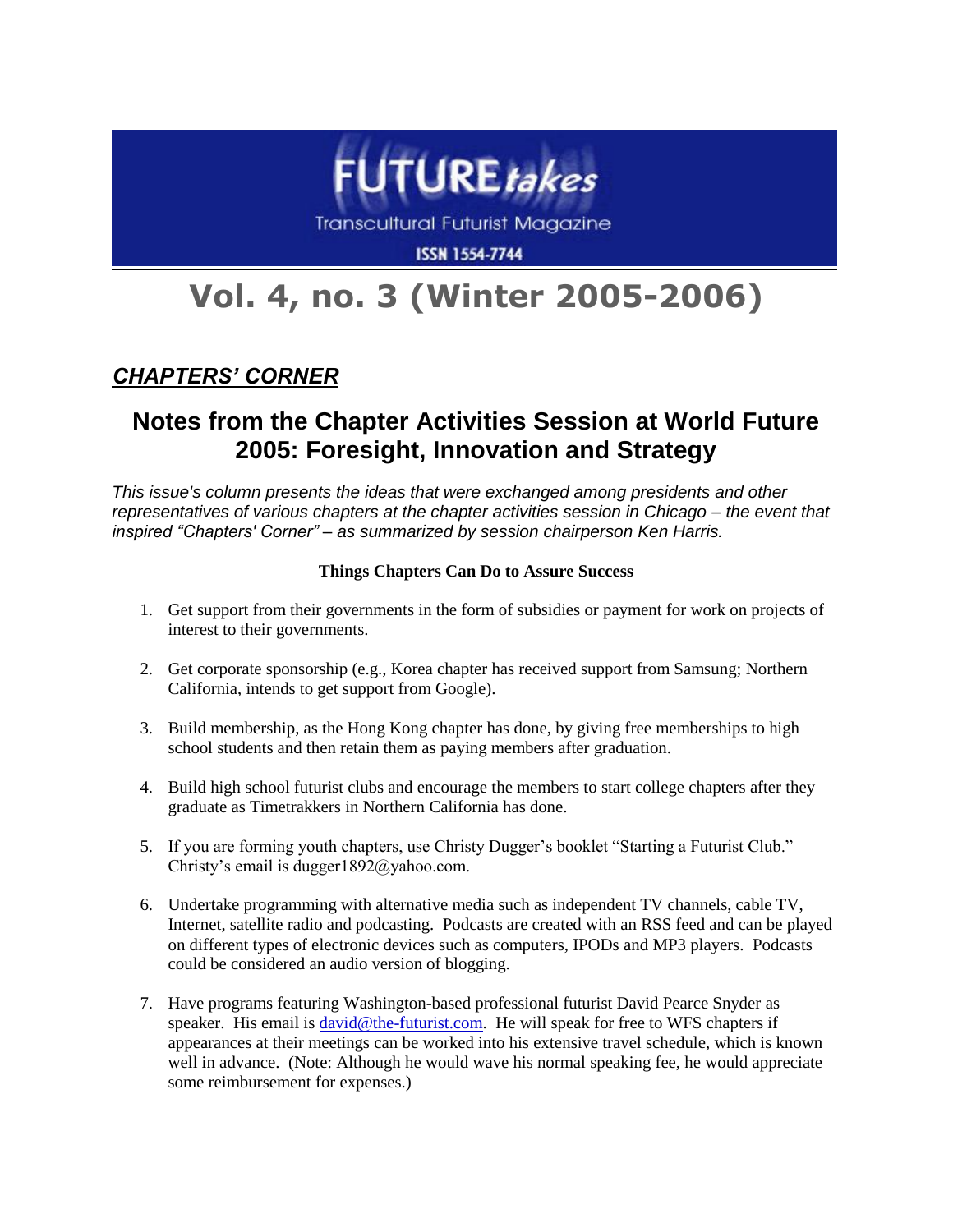

**Transcultural Futurist Magazine** 

**ISSN 1554-7744** 

# **Vol. 4, no. 3 (Winter 2005-2006)**

### *CHAPTERS' CORNER*

## **Notes from the Chapter Activities Session at World Future 2005: Foresight, Innovation and Strategy**

*This issue's column presents the ideas that were exchanged among presidents and other representatives of various chapters at the chapter activities session in Chicago – the event that inspired "Chapters' Corner" – as summarized by session chairperson Ken Harris.*

#### **Things Chapters Can Do to Assure Success**

- 1. Get support from their governments in the form of subsidies or payment for work on projects of interest to their governments.
- 2. Get corporate sponsorship (e.g., Korea chapter has received support from Samsung; Northern California, intends to get support from Google).
- 3. Build membership, as the Hong Kong chapter has done, by giving free memberships to high school students and then retain them as paying members after graduation.
- 4. Build high school futurist clubs and encourage the members to start college chapters after they graduate as Timetrakkers in Northern California has done.
- 5. If you are forming youth chapters, use Christy Dugger's booklet "Starting a Futurist Club." Christy's email is dugger1892@yahoo.com.
- 6. Undertake programming with alternative media such as independent TV channels, cable TV, Internet, satellite radio and podcasting. Podcasts are created with an RSS feed and can be played on different types of electronic devices such as computers, IPODs and MP3 players. Podcasts could be considered an audio version of blogging.
- 7. Have programs featuring Washington-based professional futurist David Pearce Snyder as speaker. His email is [david@the-futurist.com.](mailto:david@the-futurist.com) He will speak for free to WFS chapters if appearances at their meetings can be worked into his extensive travel schedule, which is known well in advance. (Note: Although he would wave his normal speaking fee, he would appreciate some reimbursement for expenses.)